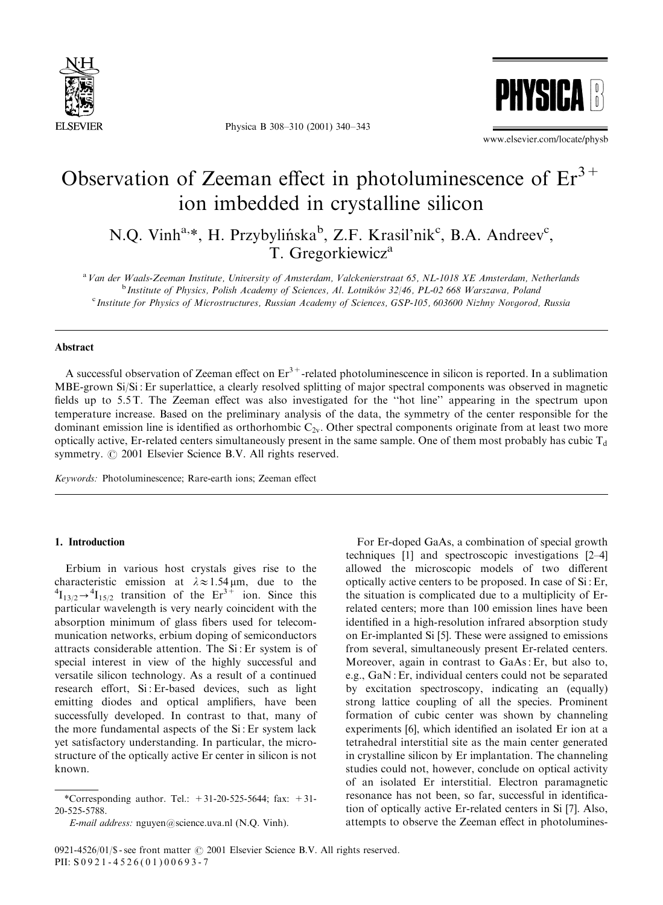

Physica B 308–310 (2001) 340–343



www.elsevier.com/locate/physb

# Observation of Zeeman effect in photoluminescence of  $Er^{3+}$ ion imbedded in crystalline silicon

N.Q. Vinh<sup>a,\*</sup>, H. Przybylińska<sup>b</sup>, Z.F. Krasil'nik<sup>c</sup>, B.A. Andreev<sup>c</sup>, T. Gregorkiewicz<sup>a</sup>

<sup>a</sup> Van der Waals-Zeeman Institute, University of Amsterdam, Valckenierstraat 65, NL-1018 XE Amsterdam, Netherlands <sup>b</sup> Institute of Physics, Polish Academy of Sciences, Al. Lotników 32/46, PL-02 668 Warszawa, Poland c Institute for Physics of Microstructures, Russian Academy of Sciences, GSP-105, 603600 Nizhny Novgorod, Russia

# Abstract

A successful observation of Zeeman effect on  $Er^{3+}$ -related photoluminescence in silicon is reported. In a sublimation MBE-grown Si/Si : Er superlattice, a clearly resolved splitting of major spectral components was observed in magnetic fields up to 5.5 T. The Zeeman effect was also investigated for the ''hot line'' appearing in the spectrum upon temperature increase. Based on the preliminary analysis of the data, the symmetry of the center responsible for the dominant emission line is identified as orthorhombic  $C_{2v}$ . Other spectral components originate from at least two more optically active, Er-related centers simultaneously present in the same sample. One of them most probably has cubic  $T_d$ symmetry.  $\odot$  2001 Elsevier Science B.V. All rights reserved.

Keywords: Photoluminescence; Rare-earth ions; Zeeman effect

## 1. Introduction

Erbium in various host crystals gives rise to the characteristic emission at  $\lambda \approx 1.54 \,\mu\text{m}$ , due to the  $I_{13/2} \rightarrow {}^{4}I_{15/2}$  transition of the  $Er^{3+}$  ion. Since this particular wavelength is very nearly coincident with the absorption minimum of glass fibers used for telecommunication networks, erbium doping of semiconductors attracts considerable attention. The Si : Er system is of special interest in view of the highly successful and versatile silicon technology. As a result of a continued research effort, Si : Er-based devices, such as light emitting diodes and optical amplifiers, have been successfully developed. In contrast to that, many of the more fundamental aspects of the Si : Er system lack yet satisfactory understanding. In particular, the microstructure of the optically active Er center in silicon is not known.

For Er-doped GaAs, a combination of special growth techniques [1] and spectroscopic investigations [2–4] allowed the microscopic models of two different optically active centers to be proposed. In case of Si : Er, the situation is complicated due to a multiplicity of Errelated centers; more than 100 emission lines have been identified in a high-resolution infrared absorption study on Er-implanted Si [5]. These were assigned to emissions from several, simultaneously present Er-related centers. Moreover, again in contrast to GaAs : Er, but also to, e.g., GaN : Er, individual centers could not be separated by excitation spectroscopy, indicating an (equally) strong lattice coupling of all the species. Prominent formation of cubic center was shown by channeling experiments [6], which identified an isolated Er ion at a tetrahedral interstitial site as the main center generated in crystalline silicon by Er implantation. The channeling studies could not, however, conclude on optical activity of an isolated Er interstitial. Electron paramagnetic resonance has not been, so far, successful in identification of optically active Er-related centers in Si [7]. Also, attempts to observe the Zeeman effect in photolumines-

<sup>\*</sup>Corresponding author. Tel.:  $+31-20-525-5644$ ; fax:  $+31-$ 20-525-5788.

E-mail address: nguyen@science.uva.nl (N.Q. Vinh).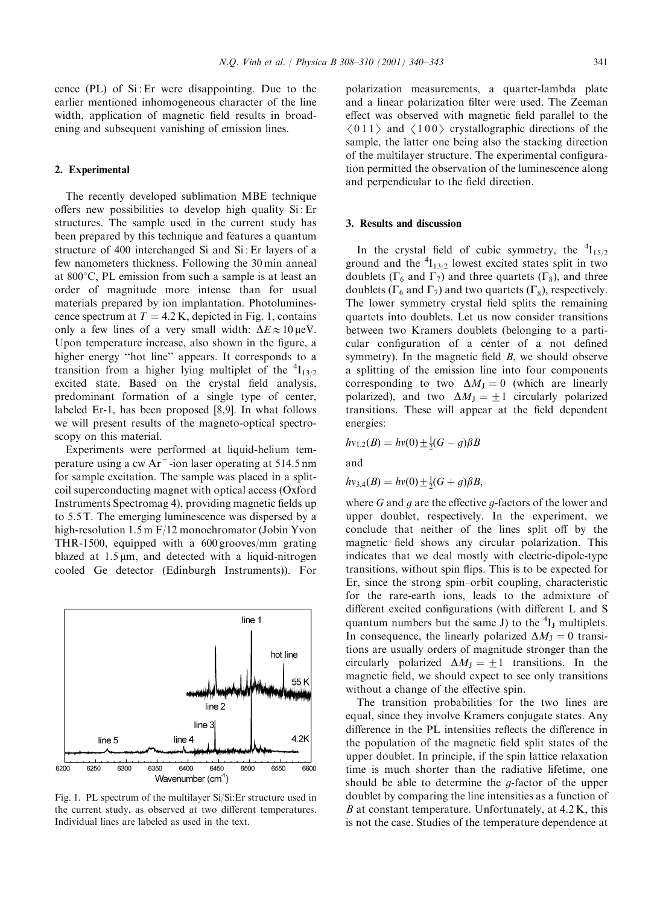cence (PL) of Si : Er were disappointing. Due to the earlier mentioned inhomogeneous character of the line width, application of magnetic field results in broadening and subsequent vanishing of emission lines.

## 2. Experimental

The recently developed sublimation MBE technique offers new possibilities to develop high quality Si : Er structures. The sample used in the current study has been prepared by this technique and features a quantum structure of 400 interchanged Si and Si : Er layers of a few nanometers thickness. Following the 30 min anneal at  $800^{\circ}$ C, PL emission from such a sample is at least an order of magnitude more intense than for usual materials prepared by ion implantation. Photoluminescence spectrum at  $T = 4.2$  K, depicted in Fig. 1, contains only a few lines of a very small width:  $\Delta E \approx 10 \,\mu\text{eV}$ . Upon temperature increase, also shown in the figure, a higher energy ''hot line'' appears. It corresponds to a transition from a higher lying multiplet of the  ${}^{4}I_{13/2}$ excited state. Based on the crystal field analysis, predominant formation of a single type of center, labeled Er-1, has been proposed [8,9]. In what follows we will present results of the magneto-optical spectroscopy on this material.

Experiments were performed at liquid-helium temperature using a cw  $Ar^+$ -ion laser operating at 514.5 nm for sample excitation. The sample was placed in a splitcoil superconducting magnet with optical access (Oxford Instruments Spectromag 4), providing magnetic fields up to 5.5 T. The emerging luminescence was dispersed by a high-resolution 1.5 m F/12 monochromator (Jobin Yvon THR-1500, equipped with a 600 grooves/mm grating blazed at  $1.5 \mu m$ , and detected with a liquid-nitrogen cooled Ge detector (Edinburgh Instruments)). For



Fig. 1. PL spectrum of the multilayer Si/Si:Er structure used in the current study, as observed at two different temperatures. Individual lines are labeled as used in the text.

polarization measurements, a quarter-lambda plate and a linear polarization filter were used. The Zeeman effect was observed with magnetic field parallel to the  $(011)$  and  $(100)$  crystallographic directions of the sample, the latter one being also the stacking direction of the multilayer structure. The experimental configuration permitted the observation of the luminescence along and perpendicular to the field direction.

#### 3. Results and discussion

In the crystal field of cubic symmetry, the  ${}^{4}I_{15/2}$ ground and the  ${}^{4}I_{13/2}$  lowest excited states split in two doublets ( $\Gamma_6$  and  $\Gamma_7$ ) and three quartets ( $\Gamma_8$ ), and three doublets ( $\Gamma_6$  and  $\Gamma_7$ ) and two quartets ( $\Gamma_8$ ), respectively. The lower symmetry crystal field splits the remaining quartets into doublets. Let us now consider transitions between two Kramers doublets (belonging to a particular configuration of a center of a not defined symmetry). In the magnetic field  $B$ , we should observe a splitting of the emission line into four components corresponding to two  $\Delta M_J = 0$  (which are linearly polarized), and two  $\Delta M_J = \pm 1$  circularly polarized transitions. These will appear at the field dependent energies:

$$
hv_{1,2}(B) = hv(0) \pm \frac{1}{2}(G - g)\beta B
$$

and

$$
hv_{3,4}(B) = hv(0) \pm \frac{1}{2}(G+g)\beta B,
$$

where G and q are the effective q-factors of the lower and upper doublet, respectively. In the experiment, we conclude that neither of the lines split off by the magnetic field shows any circular polarization. This indicates that we deal mostly with electric-dipole-type transitions, without spin flips. This is to be expected for Er, since the strong spin–orbit coupling, characteristic for the rare-earth ions, leads to the admixture of different excited configurations (with different L and S quantum numbers but the same J) to the  ${}^{4}I_J$  multiplets. In consequence, the linearly polarized  $\Delta M_{\rm I} = 0$  transitions are usually orders of magnitude stronger than the circularly polarized  $\Delta M_{\text{J}} = \pm 1$  transitions. In the magnetic field, we should expect to see only transitions without a change of the effective spin.

The transition probabilities for the two lines are equal, since they involve Kramers conjugate states. Any difference in the PL intensities reflects the difference in the population of the magnetic field split states of the upper doublet. In principle, if the spin lattice relaxation time is much shorter than the radiative lifetime, one should be able to determine the g-factor of the upper doublet by comparing the line intensities as a function of  $B$  at constant temperature. Unfortunately, at  $4.2$  K, this is not the case. Studies of the temperature dependence at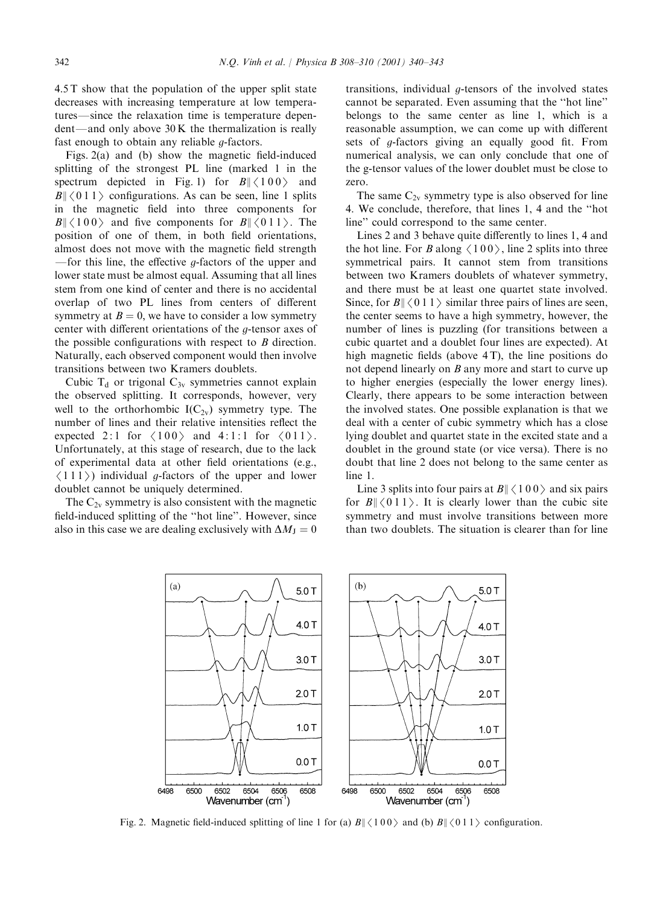4.5 T show that the population of the upper split state decreases with increasing temperature at low temperatures—since the relaxation time is temperature depen $dent$ —and only above 30 K the thermalization is really fast enough to obtain any reliable g-factors.

Figs. 2(a) and (b) show the magnetic field-induced splitting of the strongest PL line (marked 1 in the spectrum depicted in Fig. 1) for  $B \mid \langle 100 \rangle$  and  $B\|\langle 011 \rangle$  configurations. As can be seen, line 1 splits in the magnetic field into three components for  $B\|\langle 100\rangle$  and five components for  $B\|\langle 011\rangle$ . The position of one of them, in both field orientations, almost does not move with the magnetic field strength  $-$  for this line, the effective *q*-factors of the upper and lower state must be almost equal. Assuming that all lines stem from one kind of center and there is no accidental overlap of two PL lines from centers of different symmetry at  $B = 0$ , we have to consider a low symmetry center with different orientations of the g-tensor axes of the possible configurations with respect to  $B$  direction. Naturally, each observed component would then involve transitions between two Kramers doublets.

Cubic  $T_d$  or trigonal  $C_{3v}$  symmetries cannot explain the observed splitting. It corresponds, however, very well to the orthorhombic  $I(C_{2v})$  symmetry type. The number of lines and their relative intensities reflect the expected 2:1 for  $\langle 100 \rangle$  and 4:1:1 for  $\langle 011 \rangle$ . Unfortunately, at this stage of research, due to the lack of experimental data at other field orientations (e.g.,  $(111)$ ) individual g-factors of the upper and lower doublet cannot be uniquely determined.

The  $C_{2v}$  symmetry is also consistent with the magnetic field-induced splitting of the ''hot line''. However, since also in this case we are dealing exclusively with  $\Delta M_J = 0$ 

transitions, individual  $g$ -tensors of the involved states cannot be separated. Even assuming that the ''hot line'' belongs to the same center as line 1, which is a reasonable assumption, we can come up with different sets of g-factors giving an equally good fit. From numerical analysis, we can only conclude that one of the g-tensor values of the lower doublet must be close to zero.

The same  $C_{2v}$  symmetry type is also observed for line 4. We conclude, therefore, that lines 1, 4 and the ''hot line'' could correspond to the same center.

Lines 2 and 3 behave quite differently to lines 1, 4 and the hot line. For B along  $\langle 100 \rangle$ , line 2 splits into three symmetrical pairs. It cannot stem from transitions between two Kramers doublets of whatever symmetry, and there must be at least one quartet state involved. Since, for  $B\|\langle 011 \rangle$  similar three pairs of lines are seen, the center seems to have a high symmetry, however, the number of lines is puzzling (for transitions between a cubic quartet and a doublet four lines are expected). At high magnetic fields (above 4T), the line positions do not depend linearly on B any more and start to curve up to higher energies (especially the lower energy lines). Clearly, there appears to be some interaction between the involved states. One possible explanation is that we deal with a center of cubic symmetry which has a close lying doublet and quartet state in the excited state and a doublet in the ground state (or vice versa). There is no doubt that line 2 does not belong to the same center as line 1.

Line 3 splits into four pairs at  $B\|\langle 100 \rangle$  and six pairs for  $B \mid \langle 011 \rangle$ . It is clearly lower than the cubic site symmetry and must involve transitions between more than two doublets. The situation is clearer than for line



Fig. 2. Magnetic field-induced splitting of line 1 for (a)  $B \| \langle 100 \rangle$  and (b)  $B \| \langle 011 \rangle$  configuration.